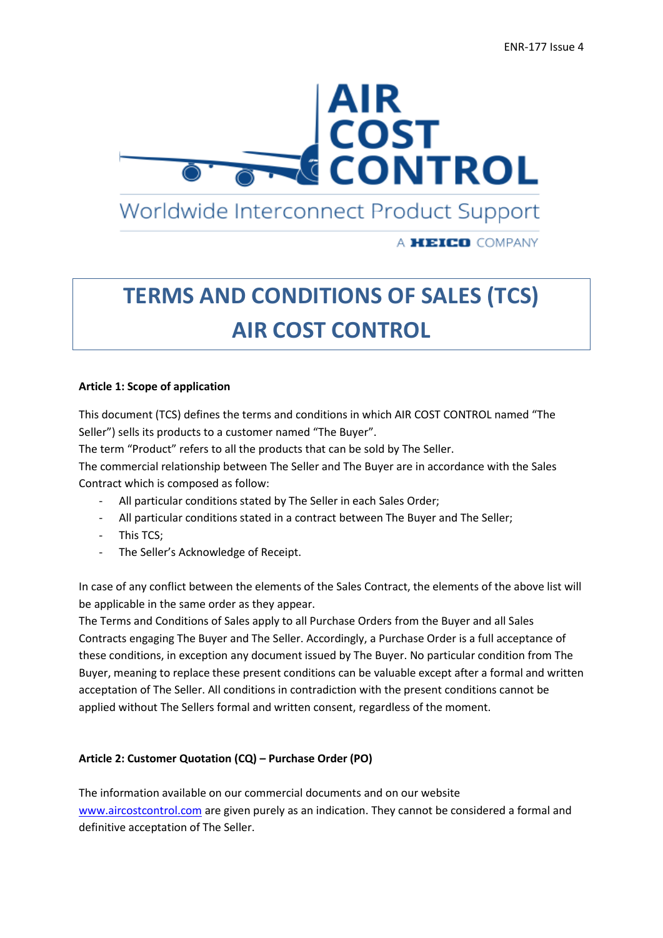# **AIR<br>COST<br>CONTROL**

Worldwide Interconnect Product Support

A **HEICO** COMPANY

# **TERMS AND CONDITIONS OF SALES (TCS) AIR COST CONTROL**

#### **Article 1: Scope of application**

This document (TCS) defines the terms and conditions in which AIR COST CONTROL named "The Seller") sells its products to a customer named "The Buyer".

The term "Product" refers to all the products that can be sold by The Seller.

The commercial relationship between The Seller and The Buyer are in accordance with the Sales Contract which is composed as follow:

- All particular conditions stated by The Seller in each Sales Order;
- All particular conditions stated in a contract between The Buyer and The Seller;
- This TCS;
- The Seller's Acknowledge of Receipt.

In case of any conflict between the elements of the Sales Contract, the elements of the above list will be applicable in the same order as they appear.

The Terms and Conditions of Sales apply to all Purchase Orders from the Buyer and all Sales Contracts engaging The Buyer and The Seller. Accordingly, a Purchase Order is a full acceptance of these conditions, in exception any document issued by The Buyer. No particular condition from The Buyer, meaning to replace these present conditions can be valuable except after a formal and written acceptation of The Seller. All conditions in contradiction with the present conditions cannot be applied without The Sellers formal and written consent, regardless of the moment.

# **Article 2: Customer Quotation (CQ) – Purchase Order (PO)**

The information available on our commercial documents and on our website [www.aircostcontrol.com](http://www.aircostcontrol.com/) are given purely as an indication. They cannot be considered a formal and definitive acceptation of The Seller.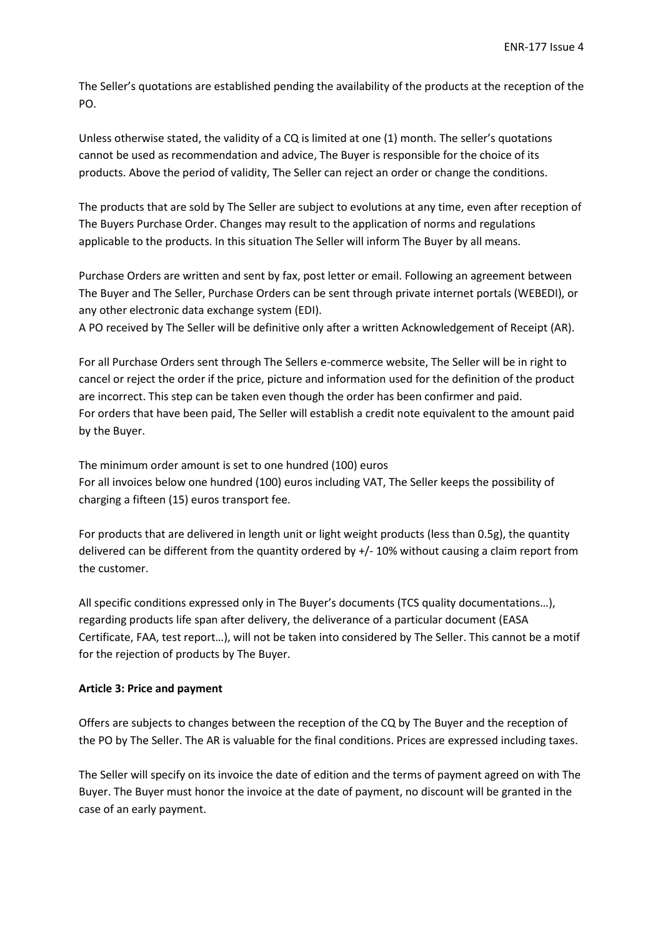The Seller's quotations are established pending the availability of the products at the reception of the PO.

Unless otherwise stated, the validity of a CQ is limited at one (1) month. The seller's quotations cannot be used as recommendation and advice, The Buyer is responsible for the choice of its products. Above the period of validity, The Seller can reject an order or change the conditions.

The products that are sold by The Seller are subject to evolutions at any time, even after reception of The Buyers Purchase Order. Changes may result to the application of norms and regulations applicable to the products. In this situation The Seller will inform The Buyer by all means.

Purchase Orders are written and sent by fax, post letter or email. Following an agreement between The Buyer and The Seller, Purchase Orders can be sent through private internet portals (WEBEDI), or any other electronic data exchange system (EDI).

A PO received by The Seller will be definitive only after a written Acknowledgement of Receipt (AR).

For all Purchase Orders sent through The Sellers e-commerce website, The Seller will be in right to cancel or reject the order if the price, picture and information used for the definition of the product are incorrect. This step can be taken even though the order has been confirmer and paid. For orders that have been paid, The Seller will establish a credit note equivalent to the amount paid by the Buyer.

The minimum order amount is set to one hundred (100) euros For all invoices below one hundred (100) euros including VAT, The Seller keeps the possibility of charging a fifteen (15) euros transport fee.

For products that are delivered in length unit or light weight products (less than 0.5g), the quantity delivered can be different from the quantity ordered by +/- 10% without causing a claim report from the customer.

All specific conditions expressed only in The Buyer's documents (TCS quality documentations…), regarding products life span after delivery, the deliverance of a particular document (EASA Certificate, FAA, test report…), will not be taken into considered by The Seller. This cannot be a motif for the rejection of products by The Buyer.

# **Article 3: Price and payment**

Offers are subjects to changes between the reception of the CQ by The Buyer and the reception of the PO by The Seller. The AR is valuable for the final conditions. Prices are expressed including taxes.

The Seller will specify on its invoice the date of edition and the terms of payment agreed on with The Buyer. The Buyer must honor the invoice at the date of payment, no discount will be granted in the case of an early payment.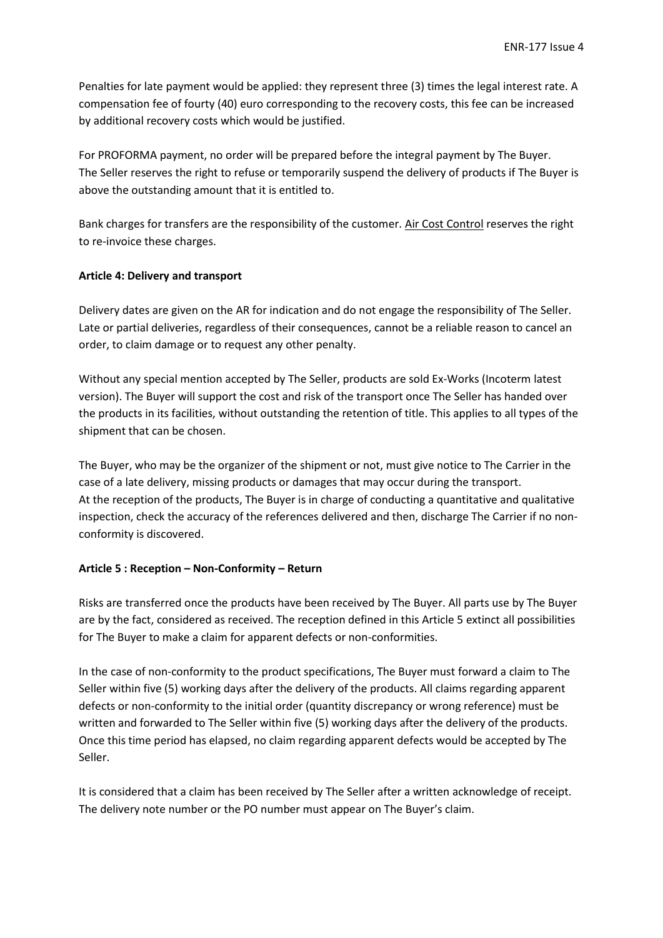Penalties for late payment would be applied: they represent three (3) times the legal interest rate. A compensation fee of fourty (40) euro corresponding to the recovery costs, this fee can be increased by additional recovery costs which would be justified.

For PROFORMA payment, no order will be prepared before the integral payment by The Buyer. The Seller reserves the right to refuse or temporarily suspend the delivery of products if The Buyer is above the outstanding amount that it is entitled to.

Bank charges for transfers are the responsibility of the customer. Air Cost Control reserves the right to re-invoice these charges.

#### **Article 4: Delivery and transport**

Delivery dates are given on the AR for indication and do not engage the responsibility of The Seller. Late or partial deliveries, regardless of their consequences, cannot be a reliable reason to cancel an order, to claim damage or to request any other penalty.

Without any special mention accepted by The Seller, products are sold Ex-Works (Incoterm latest version). The Buyer will support the cost and risk of the transport once The Seller has handed over the products in its facilities, without outstanding the retention of title. This applies to all types of the shipment that can be chosen.

The Buyer, who may be the organizer of the shipment or not, must give notice to The Carrier in the case of a late delivery, missing products or damages that may occur during the transport. At the reception of the products, The Buyer is in charge of conducting a quantitative and qualitative inspection, check the accuracy of the references delivered and then, discharge The Carrier if no nonconformity is discovered.

# **Article 5 : Reception – Non-Conformity – Return**

Risks are transferred once the products have been received by The Buyer. All parts use by The Buyer are by the fact, considered as received. The reception defined in this Article 5 extinct all possibilities for The Buyer to make a claim for apparent defects or non-conformities.

In the case of non-conformity to the product specifications, The Buyer must forward a claim to The Seller within five (5) working days after the delivery of the products. All claims regarding apparent defects or non-conformity to the initial order (quantity discrepancy or wrong reference) must be written and forwarded to The Seller within five (5) working days after the delivery of the products. Once this time period has elapsed, no claim regarding apparent defects would be accepted by The Seller.

It is considered that a claim has been received by The Seller after a written acknowledge of receipt. The delivery note number or the PO number must appear on The Buyer's claim.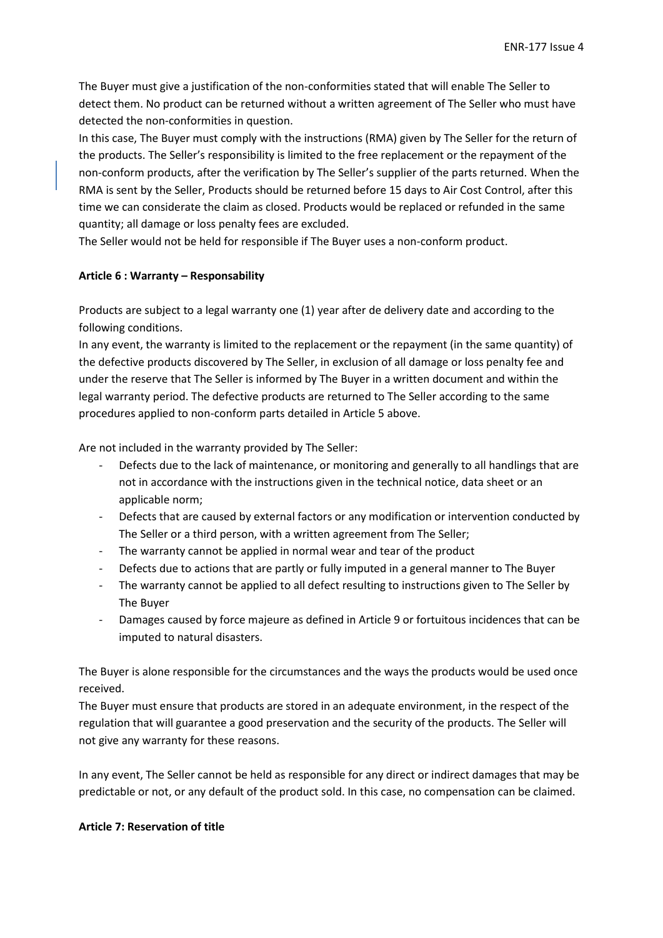The Buyer must give a justification of the non-conformities stated that will enable The Seller to detect them. No product can be returned without a written agreement of The Seller who must have detected the non-conformities in question.

In this case, The Buyer must comply with the instructions (RMA) given by The Seller for the return of the products. The Seller's responsibility is limited to the free replacement or the repayment of the non-conform products, after the verification by The Seller's supplier of the parts returned. When the RMA is sent by the Seller, Products should be returned before 15 days to Air Cost Control, after this time we can considerate the claim as closed. Products would be replaced or refunded in the same quantity; all damage or loss penalty fees are excluded.

The Seller would not be held for responsible if The Buyer uses a non-conform product.

#### **Article 6 : Warranty – Responsability**

Products are subject to a legal warranty one (1) year after de delivery date and according to the following conditions.

In any event, the warranty is limited to the replacement or the repayment (in the same quantity) of the defective products discovered by The Seller, in exclusion of all damage or loss penalty fee and under the reserve that The Seller is informed by The Buyer in a written document and within the legal warranty period. The defective products are returned to The Seller according to the same procedures applied to non-conform parts detailed in Article 5 above.

Are not included in the warranty provided by The Seller:

- Defects due to the lack of maintenance, or monitoring and generally to all handlings that are not in accordance with the instructions given in the technical notice, data sheet or an applicable norm;
- Defects that are caused by external factors or any modification or intervention conducted by The Seller or a third person, with a written agreement from The Seller;
- The warranty cannot be applied in normal wear and tear of the product
- Defects due to actions that are partly or fully imputed in a general manner to The Buyer
- The warranty cannot be applied to all defect resulting to instructions given to The Seller by The Buyer
- Damages caused by force majeure as defined in Article 9 or fortuitous incidences that can be imputed to natural disasters.

The Buyer is alone responsible for the circumstances and the ways the products would be used once received.

The Buyer must ensure that products are stored in an adequate environment, in the respect of the regulation that will guarantee a good preservation and the security of the products. The Seller will not give any warranty for these reasons.

In any event, The Seller cannot be held as responsible for any direct or indirect damages that may be predictable or not, or any default of the product sold. In this case, no compensation can be claimed.

#### **Article 7: Reservation of title**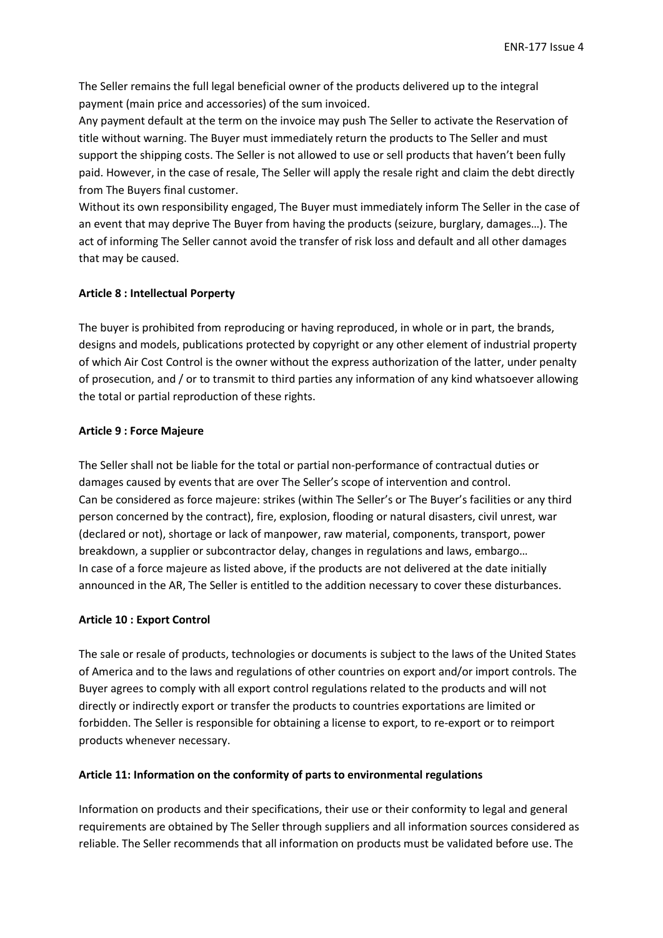The Seller remains the full legal beneficial owner of the products delivered up to the integral payment (main price and accessories) of the sum invoiced.

Any payment default at the term on the invoice may push The Seller to activate the Reservation of title without warning. The Buyer must immediately return the products to The Seller and must support the shipping costs. The Seller is not allowed to use or sell products that haven't been fully paid. However, in the case of resale, The Seller will apply the resale right and claim the debt directly from The Buyers final customer.

Without its own responsibility engaged, The Buyer must immediately inform The Seller in the case of an event that may deprive The Buyer from having the products (seizure, burglary, damages…). The act of informing The Seller cannot avoid the transfer of risk loss and default and all other damages that may be caused.

# **Article 8 : Intellectual Porperty**

The buyer is prohibited from reproducing or having reproduced, in whole or in part, the brands, designs and models, publications protected by copyright or any other element of industrial property of which Air Cost Control is the owner without the express authorization of the latter, under penalty of prosecution, and / or to transmit to third parties any information of any kind whatsoever allowing the total or partial reproduction of these rights.

#### **Article 9 : Force Majeure**

The Seller shall not be liable for the total or partial non-performance of contractual duties or damages caused by events that are over The Seller's scope of intervention and control. Can be considered as force majeure: strikes (within The Seller's or The Buyer's facilities or any third person concerned by the contract), fire, explosion, flooding or natural disasters, civil unrest, war (declared or not), shortage or lack of manpower, raw material, components, transport, power breakdown, a supplier or subcontractor delay, changes in regulations and laws, embargo… In case of a force majeure as listed above, if the products are not delivered at the date initially announced in the AR, The Seller is entitled to the addition necessary to cover these disturbances.

#### **Article 10 : Export Control**

The sale or resale of products, technologies or documents is subject to the laws of the United States of America and to the laws and regulations of other countries on export and/or import controls. The Buyer agrees to comply with all export control regulations related to the products and will not directly or indirectly export or transfer the products to countries exportations are limited or forbidden. The Seller is responsible for obtaining a license to export, to re-export or to reimport products whenever necessary.

# **Article 11: Information on the conformity of parts to environmental regulations**

Information on products and their specifications, their use or their conformity to legal and general requirements are obtained by The Seller through suppliers and all information sources considered as reliable. The Seller recommends that all information on products must be validated before use. The